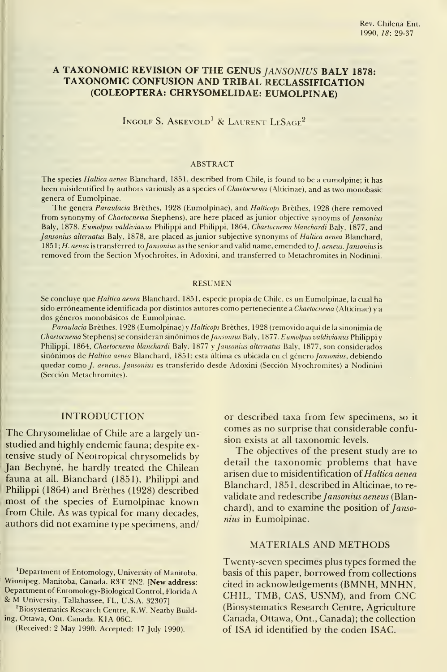# A TAXONOMIC REVISION OF THE GENUS JANSONIUS BALY 1878: TAXONOMIC CONFUSION AND TRIBAL RECLASSIFICATION (COLEÓPTERA: CHRYSOMELIDAE: EUMOLPINAE)

INGOLF S. ASKEVOLD<sup>1</sup> & LAURENT LESAGE<sup>2</sup>

#### ABSTRACT

The species Haltica aenea Blanchard, 1851, described from Chile, is found to be a eumolpine; it has been misidentified by authors variously as a species of *Chaetocnema* (Alticinae), and as two monobasic genera of Eumolpinae.

The genera Paraulacia Brèthes, 1928 (Eumolpinae), and Halticops Brèthes, 1928 (here removed from synonymy of Chaetocnema Stephens), are here placed as junior objective synoyms of Jansonius Baly, 1878. Eumolpus valdivianus Philippi and Philippi, 1864, Chaetocnema blanchardi Baly, 1877, and Jansonius alternatus Baly, 1878, are placed as junior subjective synonyms of Haltica aenea Blanchard, 1851; H. aenea is transferred to Jansonius as the senior and valid name, emended to J. aeneus. Jansonius is removed from the Section Myochroites, in Adoxini, and transferred to Metachromites in Nodinini.

#### RESUMEN

Se concluye que Haltica aenea Blanchard, 1851, especie propia de Chile, es un Eumolpinae, la cual ha sido erróneamente identificada por distintos autores como perteneciente a Chaetocnema (Alticinae) y a dos géneros monobásicos de Eumolpinae.

Paraulacia Brèthes, 1928 (Eumolpinae) y Halticops Brèthes, 1928 (removido aquí de la sinonimia de Chaetocnema Stephens) se consideran sinónimos de Jansonius Baly, 1877. Eumolpus valdivianus Philippi y Philippi, 1864, Chaetocnema blanchardi Baly, 1877 <sup>y</sup> Jansonius alternatus Baly, 1877, son considerados sinónimos de Haltica aenea Blanchard, 1851; esta última es ubicada en el género Jansonius, debiendo quedar como *J. aeneus. Jansonius* es transferido desde Adoxini (Sección Myochromites) a Nodinini (Sección Metachromites).

### INTRODUCTION

The Chrysomelidae of Chile are <sup>a</sup> largely unstudied and highly endemic fauna; despite extensive study of Neotropical chrysomelids by Jan Bechyné, he hardly treated the Chilean fauna at all. Blanchard (1851), Philippi and Philippi (1864) and Bréthes (1928) described most of the species of Eumolpinae known from Chile. As was typical for many decades, authors did not examine type specimens, and/

<sup>2</sup>Biosystematics Research Centre, K.W. Neatby Building, Ottawa, Ont. Canada. K1A 06C.

(Received: <sup>2</sup> May 1990. Accepted: <sup>17</sup> July 1990).

or described taxa from few specimens, so it comes as no surprise that considerable confusion exists at all taxonomic levels.

The objectives of the present study are to detail the taxonomic problems that have arisen due to misidentification of Haltica aenea Blanchard, 1851, described in Alticinae, to re validate and redescribe Jansonius aeneus (Blanchard), and to examine the position of  $Janso$ nius in Eumolpinae.

### MATERIALS AND METHODS

Twenty-seven specimes plus types formed the basis of this paper, borrowed from collections cited in acknowledgements (BMNH, MNHN, CHIL, TMB, CAS, USNM), and from CNC (Biosystematics Research Centre, Agriculture Canadá, Ottawa, Ont., Canadá); the collection of ISA id identified by the coden ISAC.

<sup>&</sup>lt;sup>1</sup>Department of Entomology, University of Manitoba, Winnipeg, Manitoba, Canada. R3T 2N2. [New address: Department of Entomology-Biological Control, Florida A & M University, Tallahassee, FL, U.S.A. 32307]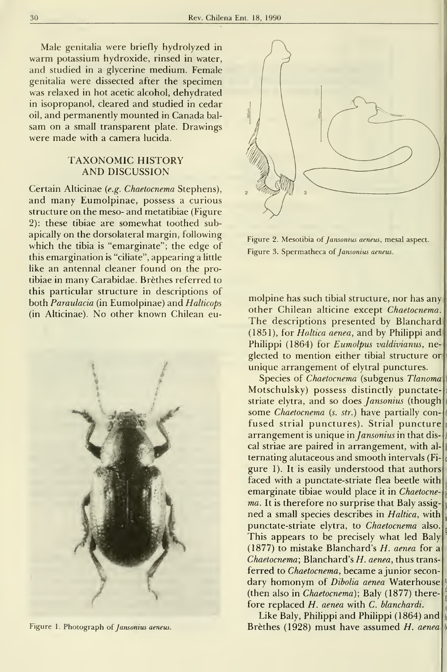Male genitalia were briefly hydrolyzed in warm potassium hydroxide, rinsed in water, and studied in a glycerine medium. Female genitalia were dissected after the specimen was relaxed in hot acetic alcohol, dehydrated in isopropanol, cleared and studied in cedar oil, and permanently mounted in Ganada bal sam on a small transparent plate. Drawings were made with a camera lucida.

# TAXONOMIC HISTORY AND DISCUSSION

Certain Alticinae (e.g. Chaetocnema Stephens), and many Eumolpinae, possess <sup>a</sup> curious structure on the meso- and metatibiae (Figure 2): these tibiae are somewhat toothed subapically on the dorsolateral margin, following which the tibia is "emarginate"; the edge of this emargination is "ciliate", appearing a little like an antennal cleaner found on the protibiae in many Carabidae. Bréthes referred to this particular structure in descriptions of both Paraulacia (in Eumolpinae) and Halticops (in Alticinae). No other known Chilean eu-



Figure 1. Photograph of Jansonius aeneus.



Figure 2. Mesotibia of Jansonius aeneus, mesal aspect. Figure 3. Spermatheca of Jansonius aeneus.

molpine has such tibial structure, nor has any other Chilean alticine except Chaetocnema. The descriptions presented by Blanchard (1851), for Holtica aenea, and by Philippi and Philippi (1864) for Eumolpus valdivianus, neglected to mention either tibial structure or unique arrangement of elytral punctures.

Species of Chaetocnema (subgenus Tlanoma) Motschulsky) possess distinctly punctatestriate elytra, and so does *Jansonius* (though some Chaetocnema (s. str.) have partially confused strial punctures). Strial puncture arrangement is unique in *Jansonius* in that discal striae are paired in arrangement, with al ternating alutaceous and smooth intervals (Fi gure 1). It is easily understood that authors faced with a punctate-striate flea beetle with emarginate tibiae would place it in Chaetocne ma. It is therefore no surprise that Baly assigned a small species describes in Haltica, with punctate-striate elytra, to Chaetocnema also. This appears to be precisely what led Baly (1877) to mistake Blanchard's  $H$ . aenea for a  $Chaetocnema$ ; Blanchard's  $H.$  aenea, thus transferred to *Chaetocnema*, became a junior secondary homonym of Dibolia aenea Waterhouse (then also in Chaetocnema); Baly (1877) therefore replaced H. aenea with C. blanchardi.

Like Baly, Philippi and Philippi (1864) and Bréthes (1928) must have assumed H. aenea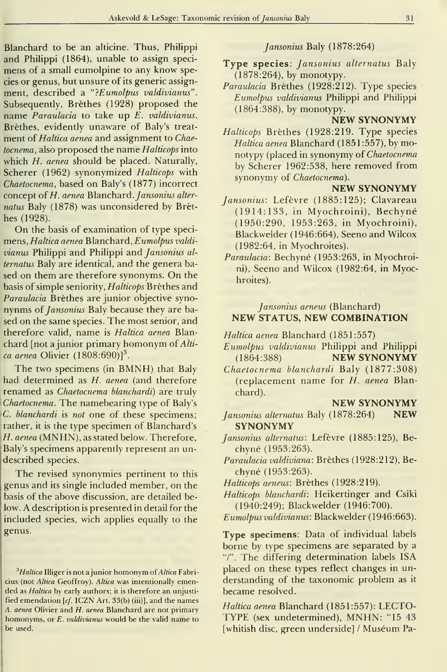Blanchard to be an alticine. Thus, Philippi and Philippi (1864), unable to assign speci mens of <sup>a</sup> small eumolpine to any know species or genus, but unsure of its generic assignment, described a "?Eumolpus valdivianus". Subsequently, Bréthes (1928) proposed the name Paraulacia to take up E. valdivianus. Bréthes, evidently unaware of Baly's treat ment of Haltica aenea and assignment to Chaetocnema, also proposed the name Halticops into which H. aenea should be placed. Naturally, Scherer (1962) synonymized Halticops with Chaetocnema, based on Baly's (1877) incorrect concept of  $H$ . aenea Blanchard. Jansonius alternatus Baly (1878) was unconsidered by Bréthes (1928).

On the basis of examination of type specimens, Haltica aenea Blanchard, Eumolpus valdi vianus Philippi and Philippi and Jansonius al ternatus Baly are identical, and the genera based on them are therefore synonyms. On the basis of simple seniority, Halticops Bréthes and Paraulacia Brèthes are junior objective synonynms of Jansonius Baly because they are based on the same species. The most senior, and therefore valid, name is Haltica aenea Blanchard [not a junior primary homonym of  $Alti$ ca aenea Olivier  $(1808:690)<sup>3</sup>$ .

The two specimens (in BMNH) that Baly had determined as H. aenea (and therefore renamed as Chaetocnema blanchardi) are truly Chaetocnema. The namebearing type of Baly's C. blanchardi is not one of these specimens; rather, it is the type specimen of Blanchard's H. aenea (MNHN), as stated below. Therefore, Baly's specimens apparently represent an undescribed species.

The revised synonymies pertinent to this genus and its single included member, on the basis of the above discussion, are detailed below. A description is presented in detall for the included species, wich applies equally to the genus.

### Jansonius Baly (1878:264)

- Type species: Jansonius alternatus Baly (1878:264), by monotypy.
- Paraulacia Bréthes (1928:212). Type species Eumolpus valdivianus Philippi and Philippi (1864:388), by monotypy.

## NEW SYNONYMY

Halticops Bréthes (1928:219. Type species Haltica aenea Blanchard (1851:557), by monotypy (placed in synonymy of Chaetocnema by Scherer 1962:538, here removed from synonymy of Chaetocnema).

### NEW SYNONYMY

- Jansonius: Lefévre (1885:125); Clavareau (1914:133, in Myochroini), Bechyné (1950:290, 1953:263, in Myochroini), Blackwelder (1946:664), Seeno and Wilcox (1982:64, in Myochroites).
- Paraulacia: Bechyné (1953:263, in Myochroini), Seeno and Wilcox (1982:64, in Myochroites).

## Jansonius aeneus (Blanchard) NEW STATUS, NEW COMBINATION

- Haltica aenea Blanchard (1851:557)
- Eumolpus valdivianus Philippi and Philippi (1864:388) NEW SYNONYMY
- Chaetocnema blanchardi Baly (1877:308) (replacement name for H. aenea Blanchard).

### NEW SYNONYMY

- Jansonius alternatus Baly (1878:264) NEW SYNONYMY
- Jansonius alternatus: Lefévre (1885:125), Bechyné (1953:263).
- Paraulacia valdiviana: Bréthes (1928:212), Bechyné (1953:263).
- Halticops aeneus: Bréthes (1928:219).

Halticops blanchardi: Heikertinger and Csiki (1940:249); Blackwelder (1946:700).

Eumolpus valdivianus: Blackwelder (1946:663).

Type specimens: Data of individual labels borne by type specimens are separated by a "/". The differing determination labels ISA placed on these types reflect changes in un derstanding of the taxonomic problem as it became resolved.

Haltica aenea Blanchard (1851:557): LECTO-TYPE (sex undetermined), MNHN: "15 <sup>43</sup> [whitish disc, green underside] / Muséum Pa-

 $3Haltica$  Illiger is not a junior homonym of Altica Fabricius (not Altica Geoffroy). Altica was intentionaliy emended as Haltica by early authors; it is therefore an unjustified emendation  $[cf.$  ICZN Art. 33(b) (iii)], and the names A. aenea Olivier and H. aenea Blanchard are not primary homonyms, or E. valdivianus would be the valid name to be used.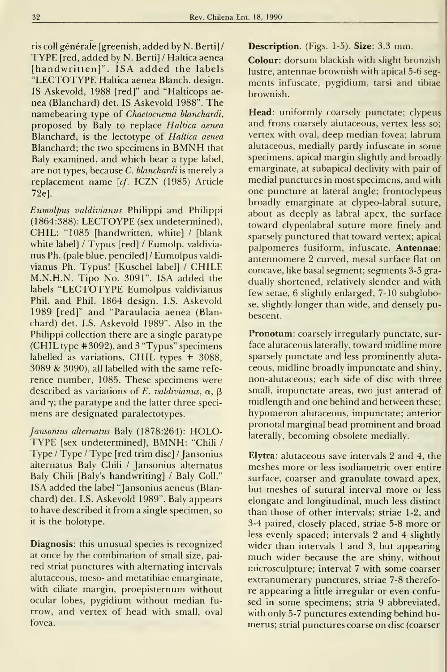ris coll générale [greenish, added by N. Berti]/ TYPE [red, added by N. Berti] / Haltica aenea [handwritten]". ISA added the labels "LECTOTYPE Haltica aenea Blanch. design. IS Askevold, 1988 [red]" and "Halticops ae nea (Blanchard) det. IS Askevold 1988". The namebearing type of Chaetocnema blanchardi, proposed by Baly to replace Haltica aenea Blanchard, is the lectotype of Haltica aenea Blanchard; the two specimens in BMNH that Baly examined, and which bear a type label, are not types, because  $C$ . blanchardi is merely a replacement name [cf. ICZN (1985) Article 72e].

Eumolpus valdivianus Philippi and Philippi (1864:388): LECTOYPE (sex undetermined), CHIL: "1085 [handwritten, white] / [blank white label] / Typus [red] / Eumolp. valdivia nus Ph. (palé blue, penciled] / Eumolpus valdi vianus Ph. Typus! [Kuschel label] / CHILE M.N.H.N. Tipo No. 3091". ISA added the labels "LECTOTYPE Eumolpus valdivianus Phil. and Phil. 1864 design. I.S. Askevold 1989 [red]" and "Paraulacia aenea (Blanchard) det. I.S. Askevold 1989". Also in the Philippi collection there are a single paratype (CHIL type #3092), and 3 "Typus" specimens labelled as variations, CHIL types # 3088,  $3089$  &  $3090$ ), all labelled with the same reference number, 1085. These specimens were described as variations of E. valdivianus,  $\alpha$ ,  $\beta$ and  $\gamma$ ; the paratype and the latter three specimens are designated paralectotypes.

Jansonius alternatus Baly (1878:264): HOLO-TYPE [sex undetermined], BMNH: "Chili / Type / Type / Type [red trim disc] / Jansonius alternatus Baly Chili / Jansonius alternatus Baly Chih [Baly's handwriting] / Baly Coll." ISA added the label "Jansonius aeneus (Blanchard) det. I.S. Askevold 1989". Baly appears to have described it from a single specimen, so it is the holotype.

Diagnosis: this unusual species is recognized at once by the combination of small size, paired strial punctures with alternating intervals alutaceous, meso- and metatibiae emarginate, with ciliate margin, proepisternum without ocular lobes, pygidium without median fu rrow, and vertex of head with small, oval fovea.

Description. (Figs. 1-5). Size: 3.3 mm.

Colour: dorsum blackish with slight bronzish lustre, antennae brownish with apical 5-6 seg ments infúscate, pygidium, tarsi and tibiae brownish.

Head: uniformly coarsely punctate; clypeus and frons coarsely alutaceous, vertex less so; vertex with oval, deep median fovea; labrum alutaceous, medially partly infúscate in some specimens, apical margin slightly and broadly emarginate, at subapical declivity with pair of medial punctures in most specimens, and with one puncture at lateral angle; frontoclypeus broadly emarginate at clypeo-labral suture, about as deeply as labral apex, the surface toward clypeolabral suture more finely and sparsely punctured that toward vertex; apical palpomeres fusiform, infúscate. Antennae: antennomere 2 curved, mesal surface fíat on concave, like basal segment; segments 3-5 gra dually shortened, relatively slender and with few setae, 6 slightly enlarged, 7-10 subglobose, slightly longer than wide, and densely pubescent.

Pronotum: coarsely irregularly punctate, surface alutaceous laterally, toward midline more sparsely punctate and less prominently aluta ceous, midline broadly impunctate and shiny, non-alutaceous; each side of disc with three small, impunctate areas, two just anterad of midlength and one behind and between these; hypomeron alutaceous, impunctate; anterior pronotal marginal bead prominent and broad laterally, becoming obsolete medially.

Elytra: alutaceous save intervals 2 and 4, the meshes more or less isodiametric over entire surface, coarser and granulate toward apex, but meshes of sutural interval more or less elongate and longitudinal, much less distinct than those of other intervals; striae 1-2, and 3-4 paired, closely placed, striae 5-8 more or less evenly spaced; intervals 2 and 4 slightly wider than intervals <sup>1</sup> and 3, but appearing much wider because the are shiny, without microsculpture; interval 7 with some coarser extranumerary punctures, striae 7-8 therefore appearing a little irregular or even confused in some specimens; stria 9 abbreviated, with only 5-7 punctures extending behind hu merus; strial punctures coarse on disc (coarser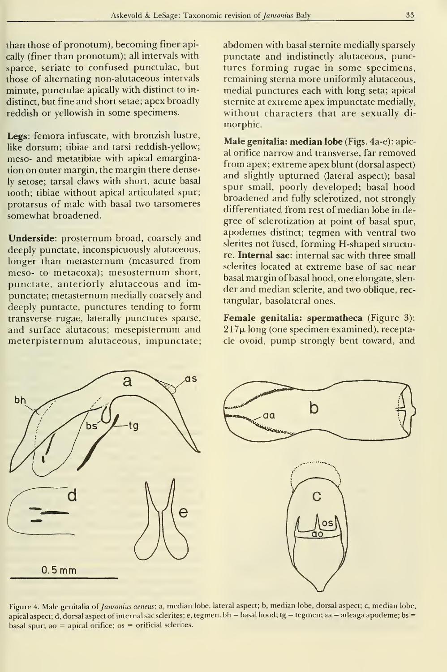than those of pronotum), becoming finer apically (finer than pronotum); all intervals with sparce, seríate to confused punctulae, but those of alternating non-alutaceous intervals minute, punctulae apically with distinct to in distinct, but fine and short setae; apex broadly reddish or yellowish in some specimens.

Legs: femora infúscate, with bronzish lustre, like dorsum; tibiae and tarsi reddish-yellow; meso- and metatibiae with apical emargination on outer margin, the margin there densely setose; tarsal claws with short, acute basal tooth; tibiae without apical articulated spur; protarsus of male with basal two tarsomeres somewhat broadened.

Underside: prosternum broad, coarsely and deeply punctate, inconspicuously alutaceous, longer than metasternum (measured from meso- to metacoxa); mesosternum short, punctate, anteriorly alutaceous and impunctate; metasternum medially coarsely and deeply puntacte, punctures tending to form transverse rugae, laterally punctures sparse, and surface alutacous; mesepisternum and meterpisternum alutaceous, impunctate;

abdomen with basal sternite medially sparsely punctate and indistinctly alutaceous, punctures forming rugae in some specimens, remaining sterna more uniformly alutaceous, medial punctures each with long seta; apical sternite at extreme apex impunctate medially, without characters that are sexually di morphic.

Male genitalia: median lobe (Figs. 4a-e): apical orífice narrow and transverse, far removed from apex; extreme apex blunt (dorsal aspect) and slightly upturned (lateral aspect); basal spur small, poorly developed; basal hood broadened and fully sclerotized, not strongly differentiated from rest of median lobe in degree of sclerotization at point of basal spur, apodemes distinct; tegmen with ventral two slerites not fused, forming H-shaped structure. Internal sac: internal sac with three small sclerites located at extreme base of sac near basal margin of basal hood, one elongate, slen der and median sclerite, and two oblique, rec tangular, basolateral ones.

Female genitalia: spermatheca (Figure 3):  $217\mu$  long (one specimen examined), receptaele ovoid, pump strongly bent toward, and



Figure 4. Male genitalia of Jansonius aeneus; a, median lobe, lateral aspect; b, median lobe, dorsal aspect; c, median lobe, apical aspect; d, dorsal aspect of internal sac sclerites; e, tegmen. bh = basal hood; tg = tegmen; aa = adeaga apodeme; bs = basal spur; ao  $=$  apical orifice; os  $=$  orificial sclerites.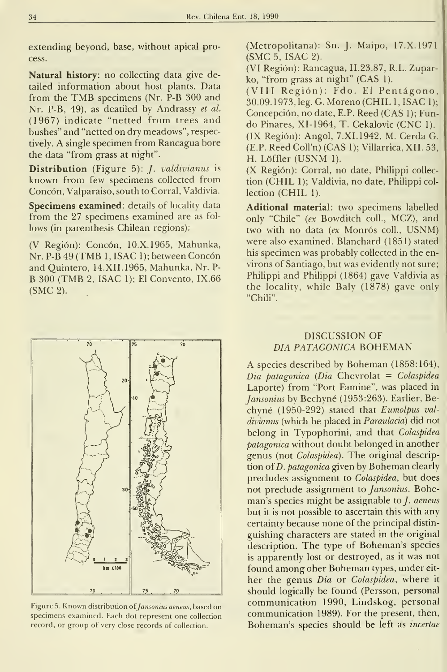extending beyond, base, without apical process.

Natural history: no collecting data give detailed information about host plants. Data from the TMB specimens (Nr. P-B <sup>300</sup> and Nr. P-B, 49), as deatiled by Andrassy et al. (1967) indícate "netted from trees and bushes" and "netted on dry meadows", respectively. A single specimen from Rancagua bore the data "from grass at night".

Distribution (Figure 5): *J. valdivianus* is known from few specimens collected from Concón, Valparaíso, south to Corral, Valdivia.

Specimens examined: details of locality data from the 27 specimens examined are as fol lows (in parenthesis Chilean regions):

(V Región): Concón, 10.X.1965, Mahunka, Nr. P-B 49 (TMB 1, ISAC 1); between Concón and Quintero, 14.XII.1965, Mahunka, Nr. P- B 300 (TMB 2, ISAC 1); El Convento, IX.66 (SMC 2).



Figure 5. Known distribution of Jansonius aeneus, based on specimens examined. Each dot represent one collection record, or group of very close records of collection.

(Metropolitana): Sn. J. Maipo, 17.X.1971 (SMC 5,ISAC 2).

(VI Región): Rancagua, 11.23.87, R.L. Zuparko, "from grass at night" (CAS 1).

(VIII Región): Fdo. El Pentágono, 30.09. 1973, leg. G. Moreno (CHIL 1, ISAC 1); Concepción, no date, E.P. Reed (CAS 1); Fundo Pinares, XI-1964, T. Cekalovic (CNC 1). (IX Región): Angol, 7.XI.1942, M. Cerda G. (E.P. Reed Coll'n) (CAS 1); Villarrica, XII. 53, H. Lóffler (USNM 1).

(X Región): Corral, no date, Philippi collec tion (CHIL 1); Valdivia, no date, Philippi col lection (CHIL 1).

Aditional material: two specimens labelled only "Chile" {ex Bowditch coll., MCZ), and two with no data {ex Monrós coll., USNM) were also examined. Blanchard (1851) stated his specimen was probably collected in the en virons of Santiago, but was evidently not sure; Phihppi and Philippi (1864) gave Valdivia as the locality, while Baly (1878) gave only "Chili".

## discussion of día patagónica boheman

A species described by Boheman (1858:164),  $Dia$  patagonica (Dia Chevrolat = Colaspidea Laporte) from "Port Famine", was placed in Jansonius by Bechyné (1953:263). Earlier, Bechyné (1950-292) stated that Eumolpus val divianus (which he placed in Paraulaciá) did not belong in Typophorini, and that Colaspidea patagónica without doubt belonged in another genus (not Colaspidea). The original description of *D. patagonica* given by Boheman clearly precludes assignment to Colaspidea, but does not preclude assignment to *Jansonius*. Boheman's species might be assignable to *. aeneus* but it is not possible to ascertain this with any certainty because none of the principal distin guishing characters are stated in the original description. The type of Boheman's species is apparently lost or destroyed, as it was not found among oher Boheman types, under eit her the genus Dia or Colaspidea, where it should logically be found (Persson, personal communication 1990, Lindskog, personal communication 1989). For the present, then, Boheman's species should be left as incertae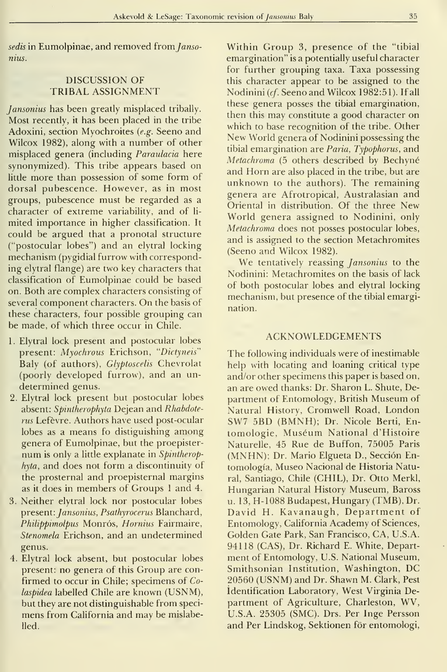sedis in Eumolpinae, and removed from Jansonius.

## DISCUSSION OF TRIBAL ASSIGNMENT

Jansonius has been greatly misplaced tribally. Most recendy, it has been placed in the tribe Adoxini, section Myochroites {e.g. Seeno and Wilcox 1982), along with a number of other misplaced genera (including Paraulacia here synonymized). This tribe appears based on little more than possession of some form of dorsal pubescence. However, as in most groups, pubescence must be regarded as a character of extreme variability, and of li mited importance in higher classification. It could be argued that a pronotal structure ("postocular lobes") and an elytral locking mechanism (pygidial furrow with corresponding elytral flange) are two key characters that classification of Eumolpinae could be based on. Both are complex characters consisting of several component characters. On the basis of these characters, four possible grouping can be made, of which three occur in Chile.

- 1. Elytral lock present and postocular lobes present: Myochrous Erichson, "Dictyneis' Baly (of authors), Glyptoscelis Chevrolat (poorly developed furrow), and an un determined genus.
- 2. Elytral lock present but postocular lobes absent: Spintherophyta Dejean and Rhabdoterus Lefévre. Authors have used post-ocular lobes as <sup>a</sup> means fo distiguishing among genera of Eumolpinae, but the proepisternum is only a little explanate in Spintherophyta, and does not form a discontinuity of the prosternal and proepisternal margins as it does in members of Groups <sup>1</sup> and 4.
- 3. Neither elytral lock ñor postocular lobes present: Jansonius, Psathyrocerus Blanchard, Philippimolpus Monrós, Hornius Fairmaire, Stenomela Erichson, and an undetermined genus.
- 4. Elytral lock absent, but postocular lobes present: no genera of this Group are con firmed to occur in Chile; specimens of Colaspidea labelled Chile are known (USNM), but they are not distinguishable from speci mens from California and may be mislabelled.

Within Group 3, presence of the "tibial emargination" isa potentially useful character for further grouping taxa. Taxa possessing this character appear to be assigned to the Nodinini (cf. Seeno and Wilcox 1982:51). If all these genera posses the tibial emargination, then this may constitute a good character on which to base recognition of the tribe. Other New World genera of Nodinini possessing the tibial emargination are Paria, Typophorus, and Metachroma (5 others described by Bechyné and Horn are also placed in the tribe, but are unknown to the authors). The remaining genera are Afrotropical, Australasian and Oriental in distribution. Of the three New World genera assigned to Nodinini, only Metachroma does not posses postocular lobes, and is assigned to the section Metachromites (Seeno and Wilcox 1982).

We tentatively reassing *Jansonius* to the Nodinini: Metachromites on the basis of lack of both postocular lobes and elytral locking mechanism, but presence of the tibial emargination.

#### ACKNOWLEDGEMENTS

The following individuals were of inestimable help with locating and loaning critical type and/or other specimens this paper is based on, an are owed thanks: Dr. Sharon L. Shute, Department of Entomology, British Museum of Natural History, Cromwell Road, London SW7 5BD (BMNH); Dr. Nicole Berti, Entomologie, Muséum National d'Histoire Naturelle, 45 Rué de Buffon, 75005 Paris (MNHN); Dr. Mario Elgueta D., Sección Entomología, Museo Nacional de Historia Natural, Santiago, Chile (CHIL), Dr. Otto Merkl, Hungarian Natural History Museum, Baross u. 13, H-1088 Budapest, Hungary (TMB), Dr. David H. Kavanaugh, Department of Entomology, California Academy of Sciences, Golden Cate Park, San Francisco, CA, U.S.A. 94118 (CAS), Dr. Richard E. White, Department of Entomology, U.S. National Museum, Smithsonian Institution, Washington, DC 20560 (USNM) and Dr. Shawn M. Clark, Pest Identification Laboratory, West Virginia Department of Agriculture, Charleston, WV, U.S.A. 25305 (SMC). Drs. Per Inge Persson and Per Lindskog, Sektionen fór entomologi.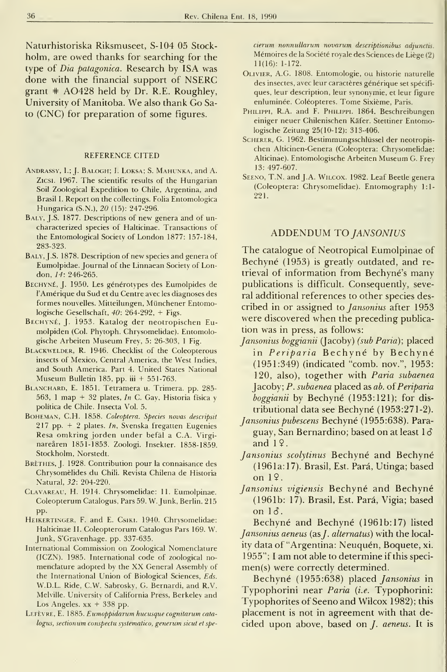Naturhistoriska Riksmuseet, S-104 05 Stockholm, are owed thanks for searching for the type of *Dia patagonica*. Research by ISA was done with the financial support of NSERC grant  $#$  AO428 held by Dr. R.E. Roughley, University of Manitoba. We also thank Go Sato (CNC) for preparation of some figures.

#### REFERENCE CITED

- ANDRASSY, I.; J. BALOGH; I. LOKSA; S. MAHUNKA, and A. Zicsi. 1967. The scientific results of the Hungarian Soil Zoological Expedition to Chile, Argentina, and Brasil I. Report on the collectings. Folia Entomológica Hungarica (S.N.), 20 (15): 247-296.
- BALY, J.S. 1877. Descriptions of new genera and of uncharacterized species of Halticinae. Transactions of the Entomological Society of London 1877: 157-184, 283-323.
- BALY, J.S. 1878. Description of new species and genera of Eumolpidae. Journal of the Linnaean Society of London, 14: 246-265.
- Bechyné, J. 1950. Les générotypes des Eumolpides de TAmérique du Sud et du Centre avec les diagnoses des formes nouvelles. Mitteilungen, Münchener Entomologische Gesellschaft, 40: 264-292, + Figs.
- Bechyné, J. 1953. Katalog der neotropischen Eu molpiden (Col. Phytoph. Chrysomelidae). Entomologische Arbeiten Museum Frey, 5: 26-303, <sup>1</sup> Fig.
- Blackwelder, R. 1946. Checklist of the Coleopterous insects of México, Central America, the West Indies, and South America. Part 4. United States National Museum Bulletin 185, pp. iii + 551-763.
- Blanchard, E. 1851. Tetramera u. Trimera. pp. 285- 563, 1 map + 32 plates, In C. Gay, Historia física y política de Chile. Insecta Vol. 5.
- BOHEMAN, C.H. 1858. Coleoptera. Species novas descripsit 217 pp.  $+$  2 plates. In, Svenska fregatten Eugenies Resa omkring jorden under befál a C.A. Virginareáren 1851-1853. Zoologi. Insekter. 1858-1859. Stockholm, Norstedt.
- BRÈTHES, J. 1928. Contribution pour la connaisance des Chrysomélides du Chili. Revista Chilena de Historia Natural, 32: 204-220.
- Clavareau, H. 1914. Chrysomelidae: 11. Eumolpinae. Coleopterum Catalogus, Pars 59. W. Junk, Berlín. 215 pp.
- Heikertinger, F. and E. Csiki. 1940. Chrysomelidae: Halticinae II. Coleopterorum Catalogus Pars 169. W. Junk, S'Gravenhage. pp. 337-635.
- International Commission on Zoological Nomenclature (ICZN). 1985. International code of zoological no menclature adopted by the XX General Assembly of the International Union of Biological Sciences, Eds. W.D.L. Ride, C.W. Sabrosky, G. Bernardi, and R.V. Melville. University of California Press, Berkeley and Los Angeles.  $xx + 338$  pp.
- LEFÈVRE, E. 1885. Eumoppidarum hucusque cognitarum catalogus, sectionum conspectu systematico, generum sicut et spe-

cierum nonnullarum novarum descriptionibus adjunctis. Mémoires de la Société royale des Sciences de Liége (2) 11(16): 1-172.

- Olivier, A.G. 1808. Entomologie, ou historie naturelle des insectes, avec leur caractères générique set spécifiques, leur description, leur synonymie, et leur figure enluminée. Coléopteres. Tome Sixiéme, Paris.
- PHILIPPI, R.A. and F. PHILIPPI. 1864. Beschreibungen einiger neuer Chilenischen Káfer. Stettiner Entomologische Zeitung 25(10-12): 313-406.
- Scherer, G. 1962. Bestimmungsschlüssel der neotropis chen Alticinen-Genera (Coleóptera: Chrysomelidae: Alticinae). Entomologische Arbeiten Museum G. Frey 13: 497-607.
- SEENO, T.N. and J.A. WILCOX. 1982. Leaf Beetle genera (Coleóptera: Chrysomelidae). Entomography 1:1- 221.

#### ADDENDUM TO JANSONIUS

The catalogue of Neotropical Eumolpinae of Bechyné (1953) is greatly outdated, and re trieval of information from Bechyné's many publications is difficult. Consequently, several additional references to other species described in or assigned to Jansonius after 1953 were discovered when the preceding publication was in press, as follows:

- Jansonius boggianii (Jacoby) (sub Paria); placed in Periparia Bechyné by Bechyné (1951:349) (indicated "comb. nov.", 1953: 120, also), together with Paria subaenea Jacoby; P. subaenea placed as ab. of Periparia boggianii by Bechyné (1953:121); for dis tributional data see Bechyné (1953:271-2).
- Jansonius pubescens Bechyné (1955:638). Para guay, San Bernardino; based on at least <sup>1</sup> ó and  $1\sqrt{2}$ .
- Jansonius scolytinus Bechyné and Bechyné (1961a: 17). Brasil, Est. Para, Utinga; based on 19.
- Jansonius vigiensis Bechyné and Bechyné (1961b: 17). Brasil, Est. Para, Vigia; based on  $1\delta$ .

Bechyné and Bechyné (1961b: 17) listed Jansonius aeneus (as *J. alternatus*) with the locality data of "Argentina: Neuquén, Boquete, xi. 1955"; <sup>I</sup> am not able to determine if this specimen(s) were correctly determined.

Bechyné (1955:638) placed Jansonius in Typophorini near Paria (i.e. Typophorini: Typophorites of Seeno and Wilcox 1982); this placement is not in agreement with that decided upon above, based on J. aeneus. It is